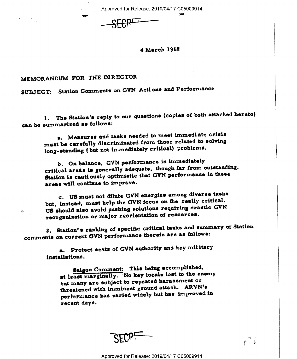Approved for Release: 2019/04/17 C05009914

4 March 1968

## MEMORANDUM FOR THE DIRECTOR

 $\frac{d^2}{dt^2}$ 

SUBJECT: Station Comments on GVN Actions and Performance

The Station's reply to our questions (copies of both attached hereto) 1. can be summarized as follows:

a. Measures and tasks needed to meet immediate crisis must be carefully discriminated from those related to solving long-standing (but not immediately critical) problems.

b. On balance, GVN performance in immediately critical areas is generally adequate, though far from outstanding. Station is cautiously optimistic that GVN performance in these areas will continue to improve.

c. US must not dilute GVN energies among diverse tasks but, instead, must help the GVN focus on the really critical. US should also avoid pushing solutions requiring drastic GVN reorganisation or major reorientation of resources.

2. Station's ranking of specific critical tasks and summary of Station comments on current GVN performance therein are as follows:

a. Protect seats of GVN authority and key military installations.

Saigon Comment: This being accomplished, at least marginally. No key locale lost to the enemy but many are subject to repeated harassment or threatened with imminent ground attack. ARVN's performance has varied widely but has improved in recent days.

 $\beta$ ,  $\frac{4}{5}$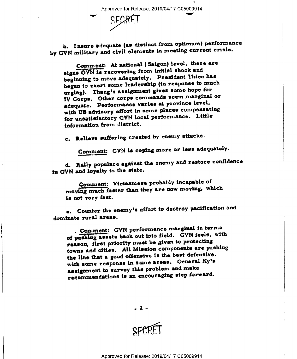Approved for Release: 2019/04/17 C05009914

b. Insure adequate (as distinct from optimum) performance by GVN military and civil elements in meeting current crisis.

Comment: At national (Saigon) level, there are signs GVN is recovering from initial shock and beginning to move adequately. President Thieu has begun to exert some leadership (in response to much urging). Thang's assignment gives some hope for IV Corps. Other corps commands seem marginal or adequate. Performance varies at province level, with US advisory effort in some places compensating for unsatisfactory GVN local performance. Little information from district.

c. Relieve suffering created by enemy attacks.

Comment: GVN is coping more or less adequately.

d. Rally populace against the enemy and restore confidence in GVN and loyalty to the state.

Comment: Vietnamese probably incapable of moving much faster than they are now moving, which is not very fast.

e. Counter the enemy's effort to destroy pacification and dominate rural areas.

. Comment: GVN performance marginal in terms of pushing assets back out into field. GVN feels, with reason, first priority must be given to protecting towns and cities. All Mission components are pushing the line that a good offensive is the best defensive, with some response in some areas. General Ky's assignment to survey this problem and make recommendations is an encouraging step forward.